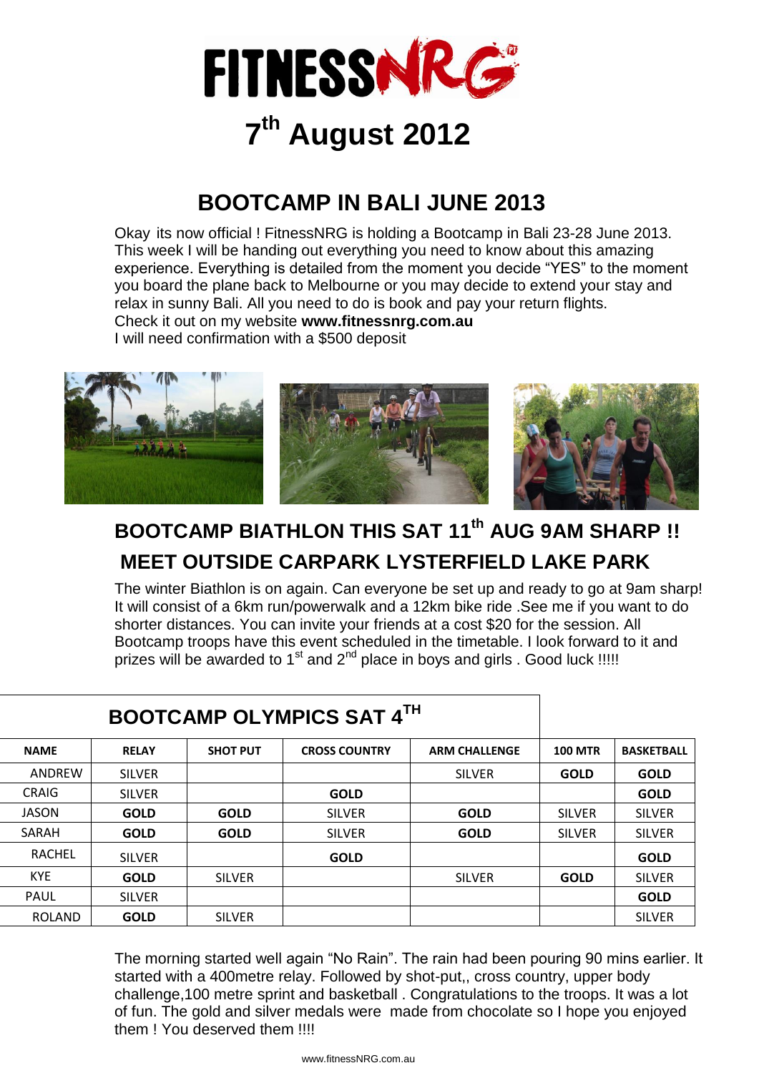

# **7 th August 2012**

## **BOOTCAMP IN BALI JUNE 2013**

Okay its now official ! FitnessNRG is holding a Bootcamp in Bali 23-28 June 2013. This week I will be handing out everything you need to know about this amazing experience. Everything is detailed from the moment you decide "YES" to the moment you board the plane back to Melbourne or you may decide to extend your stay and relax in sunny Bali. All you need to do is book and pay your return flights. Check it out on my website **www.fitnessnrg.com.au**  I will need confirmation with a \$500 deposit



# **BOOTCAMP BIATHLON THIS SAT 11th AUG 9AM SHARP !! MEET OUTSIDE CARPARK LYSTERFIELD LAKE PARK**

The winter Biathlon is on again. Can everyone be set up and ready to go at 9am sharp! It will consist of a 6km run/powerwalk and a 12km bike ride .See me if you want to do shorter distances. You can invite your friends at a cost \$20 for the session. All Bootcamp troops have this event scheduled in the timetable. I look forward to it and prizes will be awarded to 1<sup>st</sup> and 2<sup>nd</sup> place in boys and girls . Good luck !!!!!

| <b>BOOTCAMP OLYMPICS SAT 4TH</b> |               |                 |                      |                      |                |                   |
|----------------------------------|---------------|-----------------|----------------------|----------------------|----------------|-------------------|
| <b>NAME</b>                      | <b>RELAY</b>  | <b>SHOT PUT</b> | <b>CROSS COUNTRY</b> | <b>ARM CHALLENGE</b> | <b>100 MTR</b> | <b>BASKETBALL</b> |
| ANDREW                           | <b>SILVER</b> |                 |                      | <b>SILVER</b>        | <b>GOLD</b>    | <b>GOLD</b>       |
| <b>CRAIG</b>                     | <b>SILVER</b> |                 | <b>GOLD</b>          |                      |                | <b>GOLD</b>       |
| <b>JASON</b>                     | <b>GOLD</b>   | <b>GOLD</b>     | <b>SILVER</b>        | <b>GOLD</b>          | <b>SILVER</b>  | <b>SILVER</b>     |
| SARAH                            | <b>GOLD</b>   | <b>GOLD</b>     | <b>SILVER</b>        | <b>GOLD</b>          | <b>SILVER</b>  | <b>SILVER</b>     |
| <b>RACHEL</b>                    | <b>SILVER</b> |                 | <b>GOLD</b>          |                      |                | <b>GOLD</b>       |
| <b>KYE</b>                       | <b>GOLD</b>   | <b>SILVER</b>   |                      | <b>SILVER</b>        | <b>GOLD</b>    | <b>SILVER</b>     |
| <b>PAUL</b>                      | <b>SILVER</b> |                 |                      |                      |                | <b>GOLD</b>       |
| <b>ROLAND</b>                    | <b>GOLD</b>   | <b>SILVER</b>   |                      |                      |                | <b>SILVER</b>     |

The morning started well again "No Rain". The rain had been pouring 90 mins earlier. It started with a 400metre relay. Followed by shot-put,, cross country, upper body challenge,100 metre sprint and basketball . Congratulations to the troops. It was a lot of fun. The gold and silver medals were made from chocolate so I hope you enjoyed them ! You deserved them !!!!